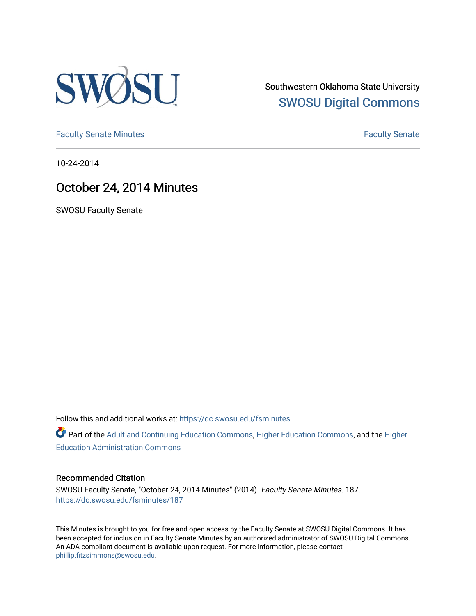

Southwestern Oklahoma State University [SWOSU Digital Commons](https://dc.swosu.edu/) 

[Faculty Senate Minutes](https://dc.swosu.edu/fsminutes) **Faculty** Senate Minutes

10-24-2014

# October 24, 2014 Minutes

SWOSU Faculty Senate

Follow this and additional works at: [https://dc.swosu.edu/fsminutes](https://dc.swosu.edu/fsminutes?utm_source=dc.swosu.edu%2Ffsminutes%2F187&utm_medium=PDF&utm_campaign=PDFCoverPages) 

Part of the [Adult and Continuing Education Commons,](http://network.bepress.com/hgg/discipline/1375?utm_source=dc.swosu.edu%2Ffsminutes%2F187&utm_medium=PDF&utm_campaign=PDFCoverPages) [Higher Education Commons,](http://network.bepress.com/hgg/discipline/1245?utm_source=dc.swosu.edu%2Ffsminutes%2F187&utm_medium=PDF&utm_campaign=PDFCoverPages) and the [Higher](http://network.bepress.com/hgg/discipline/791?utm_source=dc.swosu.edu%2Ffsminutes%2F187&utm_medium=PDF&utm_campaign=PDFCoverPages) [Education Administration Commons](http://network.bepress.com/hgg/discipline/791?utm_source=dc.swosu.edu%2Ffsminutes%2F187&utm_medium=PDF&utm_campaign=PDFCoverPages) 

### Recommended Citation

SWOSU Faculty Senate, "October 24, 2014 Minutes" (2014). Faculty Senate Minutes. 187. [https://dc.swosu.edu/fsminutes/187](https://dc.swosu.edu/fsminutes/187?utm_source=dc.swosu.edu%2Ffsminutes%2F187&utm_medium=PDF&utm_campaign=PDFCoverPages) 

This Minutes is brought to you for free and open access by the Faculty Senate at SWOSU Digital Commons. It has been accepted for inclusion in Faculty Senate Minutes by an authorized administrator of SWOSU Digital Commons. An ADA compliant document is available upon request. For more information, please contact [phillip.fitzsimmons@swosu.edu](mailto:phillip.fitzsimmons@swosu.edu).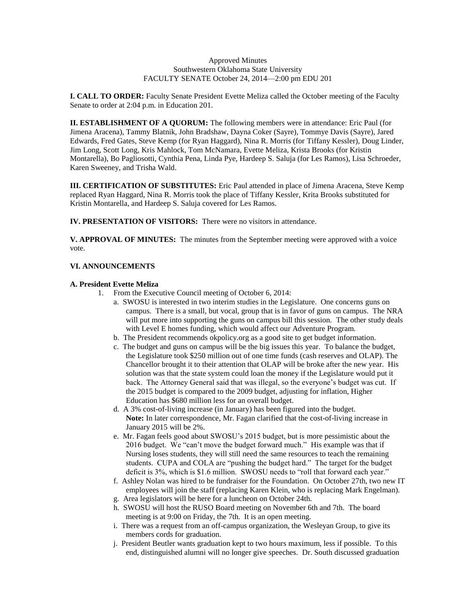#### Approved Minutes Southwestern Oklahoma State University FACULTY SENATE October 24, 2014—2:00 pm EDU 201

**I. CALL TO ORDER:** Faculty Senate President Evette Meliza called the October meeting of the Faculty Senate to order at 2:04 p.m. in Education 201.

**II. ESTABLISHMENT OF A QUORUM:** The following members were in attendance: Eric Paul (for Jimena Aracena), Tammy Blatnik, John Bradshaw, Dayna Coker (Sayre), Tommye Davis (Sayre), Jared Edwards, Fred Gates, Steve Kemp (for Ryan Haggard), Nina R. Morris (for Tiffany Kessler), Doug Linder, Jim Long, Scott Long, Kris Mahlock, Tom McNamara, Evette Meliza, Krista Brooks (for Kristin Montarella), Bo Pagliosotti, Cynthia Pena, Linda Pye, Hardeep S. Saluja (for Les Ramos), Lisa Schroeder, Karen Sweeney, and Trisha Wald.

**III. CERTIFICATION OF SUBSTITUTES:** Eric Paul attended in place of Jimena Aracena, Steve Kemp replaced Ryan Haggard, Nina R. Morris took the place of Tiffany Kessler, Krita Brooks substituted for Kristin Montarella, and Hardeep S. Saluja covered for Les Ramos.

**IV. PRESENTATION OF VISITORS:** There were no visitors in attendance.

**V. APPROVAL OF MINUTES:** The minutes from the September meeting were approved with a voice vote.

#### **VI. ANNOUNCEMENTS**

#### **A. President Evette Meliza**

- 1. From the Executive Council meeting of October 6, 2014:
	- a. SWOSU is interested in two interim studies in the Legislature. One concerns guns on campus. There is a small, but vocal, group that is in favor of guns on campus. The NRA will put more into supporting the guns on campus bill this session. The other study deals with Level E homes funding, which would affect our Adventure Program.
	- b. The President recommends okpolicy.org as a good site to get budget information.
	- c. The budget and guns on campus will be the big issues this year. To balance the budget, the Legislature took \$250 million out of one time funds (cash reserves and OLAP). The Chancellor brought it to their attention that OLAP will be broke after the new year. His solution was that the state system could loan the money if the Legislature would put it back. The Attorney General said that was illegal, so the everyone's budget was cut. If the 2015 budget is compared to the 2009 budget, adjusting for inflation, Higher Education has \$680 million less for an overall budget.
	- d. A 3% cost-of-living increase (in January) has been figured into the budget. **Note:** In later correspondence, Mr. Fagan clarified that the cost-of-living increase in January 2015 will be 2%.
	- e. Mr. Fagan feels good about SWOSU's 2015 budget, but is more pessimistic about the 2016 budget. We "can't move the budget forward much." His example was that if Nursing loses students, they will still need the same resources to teach the remaining students. CUPA and COLA are "pushing the budget hard." The target for the budget deficit is 3%, which is \$1.6 million. SWOSU needs to "roll that forward each year."
	- f. Ashley Nolan was hired to be fundraiser for the Foundation. On October 27th, two new IT employees will join the staff (replacing Karen Klein, who is replacing Mark Engelman).
	- g. Area legislators will be here for a luncheon on October 24th.
	- h. SWOSU will host the RUSO Board meeting on November 6th and 7th. The board meeting is at 9:00 on Friday, the 7th. It is an open meeting.
	- i. There was a request from an off-campus organization, the Wesleyan Group, to give its members cords for graduation.
	- j. President Beutler wants graduation kept to two hours maximum, less if possible. To this end, distinguished alumni will no longer give speeches. Dr. South discussed graduation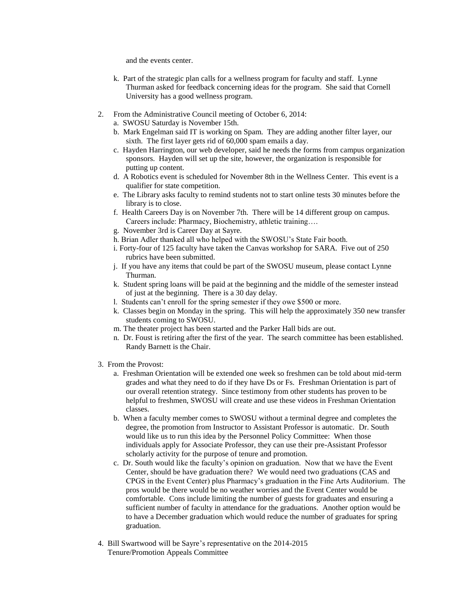and the events center.

- k. Part of the strategic plan calls for a wellness program for faculty and staff. Lynne Thurman asked for feedback concerning ideas for the program. She said that Cornell University has a good wellness program.
- 2. From the Administrative Council meeting of October 6, 2014:
	- a. SWOSU Saturday is November 15th.
	- b. Mark Engelman said IT is working on Spam. They are adding another filter layer, our sixth. The first layer gets rid of 60,000 spam emails a day.
	- c. Hayden Harrington, our web developer, said he needs the forms from campus organization sponsors. Hayden will set up the site, however, the organization is responsible for putting up content.
	- d. A Robotics event is scheduled for November 8th in the Wellness Center. This event is a qualifier for state competition.
	- e. The Library asks faculty to remind students not to start online tests 30 minutes before the library is to close.
	- f. Health Careers Day is on November 7th. There will be 14 different group on campus. Careers include: Pharmacy, Biochemistry, athletic training….
	- g. November 3rd is Career Day at Sayre.
	- h. Brian Adler thanked all who helped with the SWOSU's State Fair booth.
	- i. Forty-four of 125 faculty have taken the Canvas workshop for SARA. Five out of 250 rubrics have been submitted.
	- j. If you have any items that could be part of the SWOSU museum, please contact Lynne Thurman.
	- k. Student spring loans will be paid at the beginning and the middle of the semester instead of just at the beginning. There is a 30 day delay.
	- l. Students can't enroll for the spring semester if they owe \$500 or more.
	- k. Classes begin on Monday in the spring. This will help the approximately 350 new transfer students coming to SWOSU.
	- m. The theater project has been started and the Parker Hall bids are out.
	- n. Dr. Foust is retiring after the first of the year. The search committee has been established. Randy Barnett is the Chair.
- 3. From the Provost:
	- a. Freshman Orientation will be extended one week so freshmen can be told about mid-term grades and what they need to do if they have Ds or Fs. Freshman Orientation is part of our overall retention strategy. Since testimony from other students has proven to be helpful to freshmen, SWOSU will create and use these videos in Freshman Orientation classes.
	- b. When a faculty member comes to SWOSU without a terminal degree and completes the degree, the promotion from Instructor to Assistant Professor is automatic. Dr. South would like us to run this idea by the Personnel Policy Committee: When those individuals apply for Associate Professor, they can use their pre-Assistant Professor scholarly activity for the purpose of tenure and promotion.
	- c. Dr. South would like the faculty's opinion on graduation. Now that we have the Event Center, should be have graduation there? We would need two graduations (CAS and CPGS in the Event Center) plus Pharmacy's graduation in the Fine Arts Auditorium. The pros would be there would be no weather worries and the Event Center would be comfortable. Cons include limiting the number of guests for graduates and ensuring a sufficient number of faculty in attendance for the graduations. Another option would be to have a December graduation which would reduce the number of graduates for spring graduation.
- 4. Bill Swartwood will be Sayre's representative on the 2014-2015 Tenure/Promotion Appeals Committee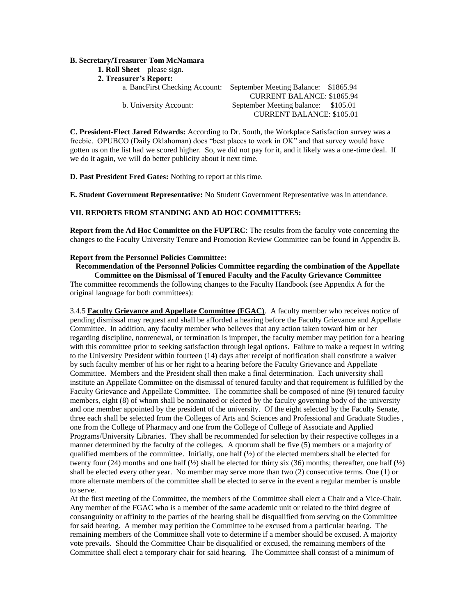#### **B. Secretary/Treasurer Tom McNamara**

| <b>1. Roll Sheet</b> – please sign. |                                      |          |
|-------------------------------------|--------------------------------------|----------|
| <b>2. Treasurer's Report:</b>       |                                      |          |
| a. BancFirst Checking Account:      | September Meeting Balance: \$1865.94 |          |
|                                     | <b>CURRENT BALANCE: \$1865.94</b>    |          |
| b. University Account:              | September Meeting balance:           | \$105.01 |

**C. President-Elect Jared Edwards:** According to Dr. South, the Workplace Satisfaction survey was a freebie. OPUBCO (Daily Oklahoman) does "best places to work in OK" and that survey would have gotten us on the list had we scored higher. So, we did not pay for it, and it likely was a one-time deal. If we do it again, we will do better publicity about it next time.

CURRENT BALANCE: \$105.01

**D. Past President Fred Gates:** Nothing to report at this time.

**E. Student Government Representative:** No Student Government Representative was in attendance.

#### **VII. REPORTS FROM STANDING AND AD HOC COMMITTEES:**

**Report from the Ad Hoc Committee on the FUPTRC**: The results from the faculty vote concerning the changes to the Faculty University Tenure and Promotion Review Committee can be found in Appendix B.

#### **Report from the Personnel Policies Committee:**

**Recommendation of the Personnel Policies Committee regarding the combination of the Appellate Committee on the Dismissal of Tenured Faculty and the Faculty Grievance Committee** The committee recommends the following changes to the Faculty Handbook (see Appendix A for the original language for both committees):

3.4.5 **Faculty Grievance and Appellate Committee (FGAC)**. A faculty member who receives notice of pending dismissal may request and shall be afforded a hearing before the Faculty Grievance and Appellate Committee. In addition, any faculty member who believes that any action taken toward him or her regarding discipline, nonrenewal, or termination is improper, the faculty member may petition for a hearing with this committee prior to seeking satisfaction through legal options. Failure to make a request in writing to the University President within fourteen (14) days after receipt of notification shall constitute a waiver by such faculty member of his or her right to a hearing before the Faculty Grievance and Appellate Committee. Members and the President shall then make a final determination. Each university shall institute an Appellate Committee on the dismissal of tenured faculty and that requirement is fulfilled by the Faculty Grievance and Appellate Committee. The committee shall be composed of nine (9) tenured faculty members, eight (8) of whom shall be nominated or elected by the faculty governing body of the university and one member appointed by the president of the university. Of the eight selected by the Faculty Senate, three each shall be selected from the Colleges of Arts and Sciences and Professional and Graduate Studies , one from the College of Pharmacy and one from the College of College of Associate and Applied Programs/University Libraries. They shall be recommended for selection by their respective colleges in a manner determined by the faculty of the colleges. A quorum shall be five (5) members or a majority of qualified members of the committee. Initially, one half  $(½)$  of the elected members shall be elected for twenty four (24) months and one half  $\frac{1}{2}$  shall be elected for thirty six (36) months; thereafter, one half  $\frac{1}{2}$ shall be elected every other year. No member may serve more than two (2) consecutive terms. One (1) or more alternate members of the committee shall be elected to serve in the event a regular member is unable to serve.

At the first meeting of the Committee, the members of the Committee shall elect a Chair and a Vice-Chair. Any member of the FGAC who is a member of the same academic unit or related to the third degree of consanguinity or affinity to the parties of the hearing shall be disqualified from serving on the Committee for said hearing. A member may petition the Committee to be excused from a particular hearing. The remaining members of the Committee shall vote to determine if a member should be excused. A majority vote prevails. Should the Committee Chair be disqualified or excused, the remaining members of the Committee shall elect a temporary chair for said hearing. The Committee shall consist of a minimum of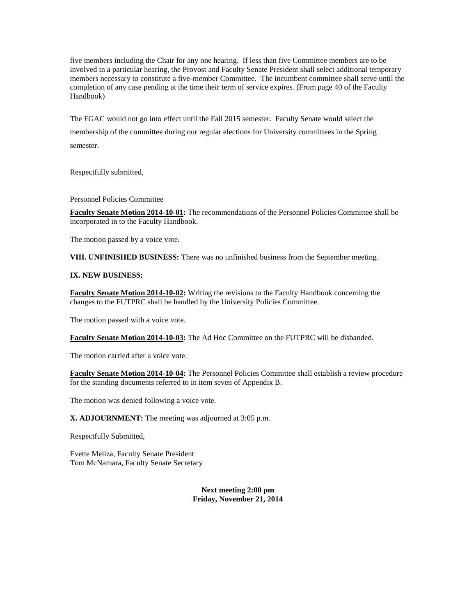five members including the Chair for any one hearing. If less than five Committee members are to be involved in a particular hearing, the Provost and Faculty Senate President shall select additional temporary members necessary to constitute a five-member Committee. The incumbent committee shall serve until the completion of any case pending at the time their term of service expires. (From page 40 of the Faculty Handbook)

The FGAC would not go into effect until the Fall 2015 semester. Faculty Senate would select the membership of the committee during our regular elections for University committees in the Spring semester.

Respectfully submitted,

Personnel Policies Committee

**Faculty Senate Motion 2014-10-01:** The recommendations of the Personnel Policies Committee shall be incorporated in to the Faculty Handbook.

The motion passed by a voice vote.

**VIII. UNFINISHED BUSINESS:** There was no unfinished business from the September meeting.

#### **IX. NEW BUSINESS:**

**Faculty Senate Motion 2014-10-02:** Writing the revisions to the Faculty Handbook concerning the changes to the FUTPRC shall be handled by the University Policies Committee.

The motion passed with a voice vote.

**Faculty Senate Motion 2014-10-03:** The Ad Hoc Committee on the FUTPRC will be disbanded.

The motion carried after a voice vote.

**Faculty Senate Motion 2014-10-04:** The Personnel Policies Committee shall establish a review procedure for the standing documents referred to in item seven of Appendix B.

The motion was denied following a voice vote.

**X. ADJOURNMENT:** The meeting was adjourned at 3:05 p.m.

Respectfully Submitted,

Evette Meliza, Faculty Senate President Tom McNamara, Faculty Senate Secretary

> **Next meeting 2:00 pm Friday, November 21, 2014**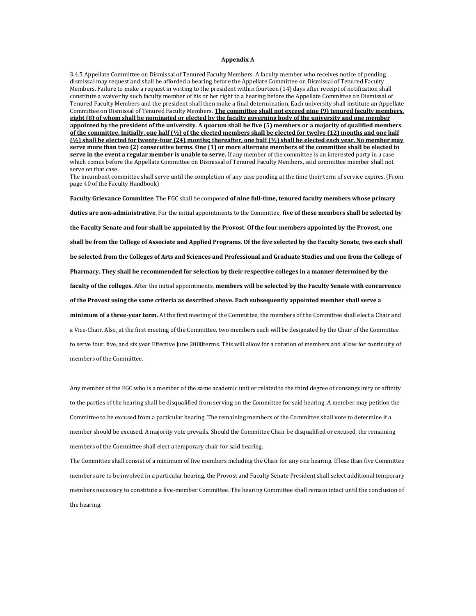#### **Appendix A**

3.4.5 Appellate Committee on Dismissal of Tenured Faculty Members. A faculty member who receives notice of pending dismissal may request and shall be afforded a hearing before the Appellate Committee on Dismissal of Tenured Faculty Members. Failure to make a request in writing to the president within fourteen (14) days after receipt of notification shall constitute a waiver by such faculty member of his or her right to a hearing before the Appellate Committee on Dismissal of Tenured Faculty Members and the president shall then make a final determination. Each university shall institute an Appellate Committee on Dismissal of Tenured Faculty Members. **The committee shall not exceed nine (9) tenured faculty members, eight (8) of whom shall be nominated or elected by the faculty governing body of the university and one member appointed by the president of the university. A quorum shall be five (5) members or a majority of qualified members of the committee. Initially, one half (½) of the elected members shall be elected for twelve (12) months and one half (½) shall be elected for twenty-four (24) months; thereafter, one half (½) shall be elected each year. No member may serve more than two (2) consecutive terms. One (1) or more alternate members of the committee shall be elected to serve in the event a regular member is unable to serve.** If any member of the committee is an interested party in a case which comes before the Appellate Committee on Dismissal of Tenured Faculty Members, said committee member shall not serve on that case.

The incumbent committee shall serve until the completion of any case pending at the time their term of service expires. (From page 40 of the Faculty Handbook)

**Faculty Grievance Committee**. The FGC shall be composed **of nine full-time, tenured faculty members whose primary** 

**duties are non-administrative**. For the initial appointments to the Committee, **five of these members shall be selected by the Faculty Senate and four shall be appointed by the Provost**. **Of the four members appointed by the Provost, one shall be from the College of Associate and Applied Programs**. **Of the five selected by the Faculty Senate, two each shall be selected from the Colleges of Arts and Sciences and Professional and Graduate Studies and one from the College of Pharmacy. They shall be recommended for selection by their respective colleges in a manner determined by the faculty of the colleges.** After the initial appointments, **members will be selected by the Faculty Senate with concurrence of the Provost using the same criteria as described above. Each subsequently appointed member shall serve a minimum of a three-year term.** At the first meeting of the Committee, the members of the Committee shall elect a Chair and a Vice-Chair. Also, at the first meeting of the Committee, two members each will be designated by the Chair of the Committee to serve four, five, and six year Effective June 2008terms. This will allow for a rotation of members and allow for continuity of members of the Committee.

Any member of the FGC who is a member of the same academic unit or related to the third degree of consanguinity or affinity to the parties of the hearing shall be disqualified from serving on the Committee for said hearing. A member may petition the Committee to be excused from a particular hearing. The remaining members of the Committee shall vote to determine if a member should be excused. A majority vote prevails. Should the Committee Chair be disqualified or excused, the remaining members of the Committee shall elect a temporary chair for said hearing.

The Committee shall consist of a minimum of five members including the Chair for any one hearing. If less than five Committee members are to be involved in a particular hearing, the Provost and Faculty Senate President shall select additional temporary members necessary to constitute a five-member Committee. The hearing Committee shall remain intact until the conclusion of the hearing.